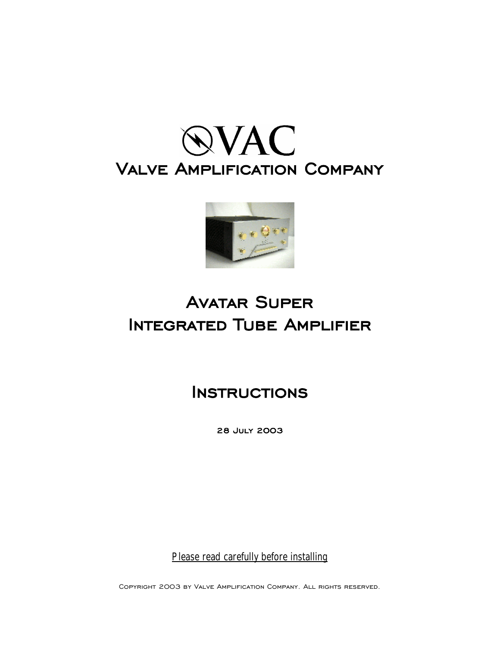



### **Avatar Super Integrated Tube Amplifier**

**Instructions**

**28 July 2003**

*Please read carefully before installing*

Copyright 2003 by Valve Amplification Company. All rights reserved.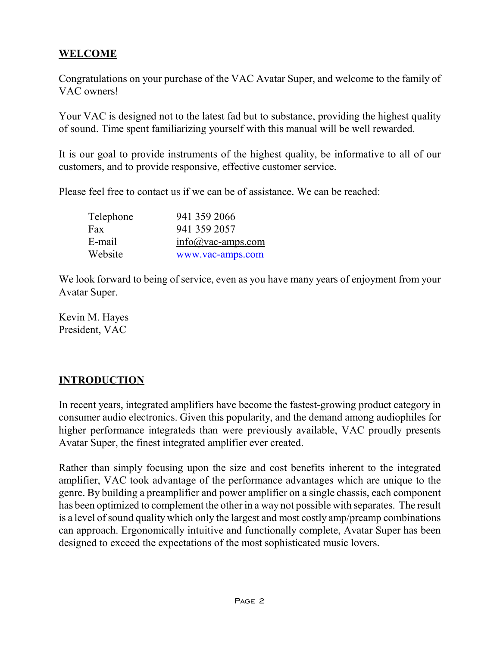#### **WELCOME**

Congratulations on your purchase of the VAC Avatar Super, and welcome to the family of VAC owners!

Your VAC is designed not to the latest fad but to substance, providing the highest quality of sound. Time spent familiarizing yourself with this manual will be well rewarded.

It is our goal to provide instruments of the highest quality, be informative to all of our customers, and to provide responsive, effective customer service.

Please feel free to contact us if we can be of assistance. We can be reached:

| Telephone | 941 359 2066        |
|-----------|---------------------|
| Fax       | 941 359 2057        |
| E-mail    | $info@vac-amps.com$ |
| Website   | www.vac-amps.com    |

We look forward to being of service, even as you have many years of enjoyment from your Avatar Super.

Kevin M. Hayes President, VAC

#### **INTRODUCTION**

In recent years, integrated amplifiers have become the fastest-growing product category in consumer audio electronics. Given this popularity, and the demand among audiophiles for higher performance integrateds than were previously available, VAC proudly presents Avatar Super, the finest integrated amplifier ever created.

Rather than simply focusing upon the size and cost benefits inherent to the integrated amplifier, VAC took advantage of the performance advantages which are unique to the genre. By building a preamplifier and power amplifier on a single chassis, each component has been optimized to complement the other in a way not possible with separates. The result is a level of sound quality which only the largest and most costly amp/preamp combinations can approach. Ergonomically intuitive and functionally complete, Avatar Super has been designed to exceed the expectations of the most sophisticated music lovers.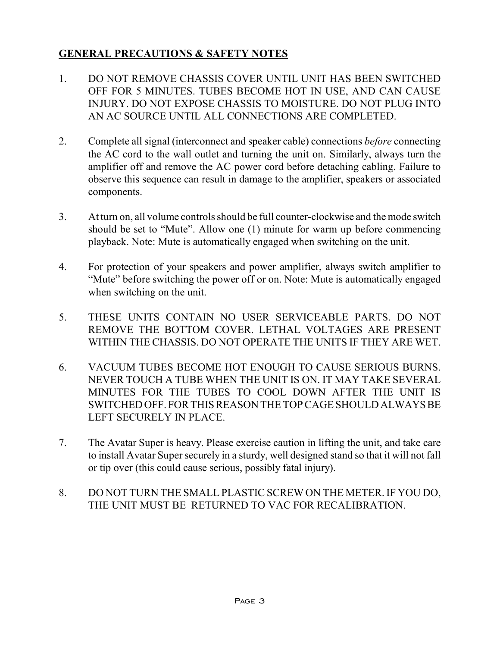#### **GENERAL PRECAUTIONS & SAFETY NOTES**

- 1. DO NOT REMOVE CHASSIS COVER UNTIL UNIT HAS BEEN SWITCHED OFF FOR 5 MINUTES. TUBES BECOME HOT IN USE, AND CAN CAUSE INJURY. DO NOT EXPOSE CHASSIS TO MOISTURE. DO NOT PLUG INTO AN AC SOURCE UNTIL ALL CONNECTIONS ARE COMPLETED.
- 2. Complete all signal (interconnect and speaker cable) connections *before* connecting the AC cord to the wall outlet and turning the unit on. Similarly, always turn the amplifier off and remove the AC power cord before detaching cabling. Failure to observe this sequence can result in damage to the amplifier, speakers or associated components.
- 3. At turn on, all volume controlsshould be full counter-clockwise and the mode switch should be set to "Mute". Allow one (1) minute for warm up before commencing playback. Note: Mute is automatically engaged when switching on the unit.
- 4. For protection of your speakers and power amplifier, always switch amplifier to "Mute" before switching the power off or on. Note: Mute is automatically engaged when switching on the unit.
- 5. THESE UNITS CONTAIN NO USER SERVICEABLE PARTS. DO NOT REMOVE THE BOTTOM COVER. LETHAL VOLTAGES ARE PRESENT WITHIN THE CHASSIS. DO NOT OPERATE THE UNITS IF THEY ARE WET.
- 6. VACUUM TUBES BECOME HOT ENOUGH TO CAUSE SERIOUS BURNS. NEVER TOUCH A TUBE WHEN THE UNIT IS ON. IT MAY TAKE SEVERAL MINUTES FOR THE TUBES TO COOL DOWN AFTER THE UNIT IS SWITCHEDOFF. FORTHISREASON THETOPCAGESHOULD ALWAYSBE LEFT SECURELY IN PLACE.
- 7. The Avatar Super is heavy. Please exercise caution in lifting the unit, and take care to install Avatar Super securely in a sturdy, well designed stand so that it will not fall or tip over (this could cause serious, possibly fatal injury).
- 8. DO NOT TURN THE SMALL PLASTIC SCREW ON THE METER. IF YOU DO, THE UNIT MUST BE RETURNED TO VAC FOR RECALIBRATION.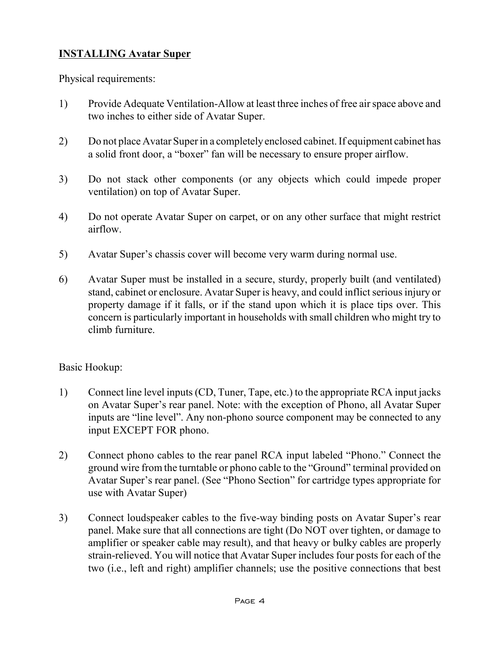#### **INSTALLING Avatar Super**

Physical requirements:

- 1) Provide Adequate Ventilation-Allow at least three inches of free airspace above and two inches to either side of Avatar Super.
- 2) Do not place Avatar Super in a completely enclosed cabinet. If equipment cabinet has a solid front door, a "boxer" fan will be necessary to ensure proper airflow.
- 3) Do not stack other components (or any objects which could impede proper ventilation) on top of Avatar Super.
- 4) Do not operate Avatar Super on carpet, or on any other surface that might restrict airflow.
- 5) Avatar Super's chassis cover will become very warm during normal use.
- 6) Avatar Super must be installed in a secure, sturdy, properly built (and ventilated) stand, cabinet or enclosure. Avatar Super is heavy, and could inflict serious injury or property damage if it falls, or if the stand upon which it is place tips over. This concern is particularly important in households with small children who might try to climb furniture.

#### Basic Hookup:

- 1) Connect line level inputs(CD, Tuner, Tape, etc.) to the appropriate RCA input jacks on Avatar Super's rear panel. Note: with the exception of Phono, all Avatar Super inputs are "line level". Any non-phono source component may be connected to any input EXCEPT FOR phono.
- 2) Connect phono cables to the rear panel RCA input labeled "Phono." Connect the ground wire from the turntable or phono cable to the "Ground" terminal provided on Avatar Super's rear panel. (See "Phono Section" for cartridge types appropriate for use with Avatar Super)
- 3) Connect loudspeaker cables to the five-way binding posts on Avatar Super's rear panel. Make sure that all connections are tight (Do NOT over tighten, or damage to amplifier or speaker cable may result), and that heavy or bulky cables are properly strain-relieved. You will notice that Avatar Super includes four posts for each of the two (i.e., left and right) amplifier channels; use the positive connections that best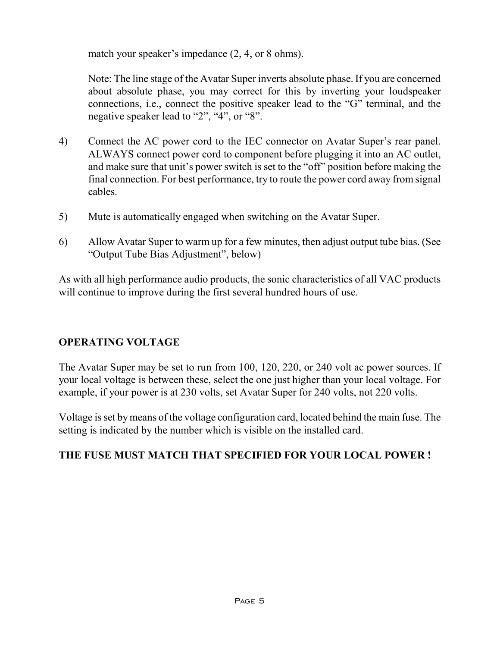match your speaker's impedance (2, 4, or 8 ohms).

Note: The line stage of the Avatar Super inverts absolute phase. If you are concerned about absolute phase, you may correct for this by inverting your loudspeaker connections, i.e., connect the positive speaker lead to the "G" terminal, and the negative speaker lead to "2", "4", or "8".

- 4) Connect the AC power cord to the IEC connector on Avatar Super's rear panel. ALWAYS connect power cord to component before plugging it into an AC outlet, and make sure that unit's power switch is set to the "off" position before making the final connection. For best performance, try to route the power cord away from signal cables.
- 5) Mute is automatically engaged when switching on the Avatar Super.
- 6) Allow Avatar Super to warm up for a few minutes, then adjust output tube bias. (See "Output Tube Bias Adjustment", below)

As with all high performance audio products, the sonic characteristics of all VAC products will continue to improve during the first several hundred hours of use.

#### **OPERATING VOLTAGE**

The Avatar Super may be set to run from 100, 120, 220, or 240 volt ac power sources. If your local voltage is between these, select the one just higher than your local voltage. For example, if your power is at 230 volts, set Avatar Super for 240 volts, not 220 volts.

Voltage isset bymeans of the voltage configuration card, located behind the main fuse. The setting is indicated by the number which is visible on the installed card.

#### **THE FUSE MUST MATCH THAT SPECIFIED FOR YOUR LOCAL POWER !**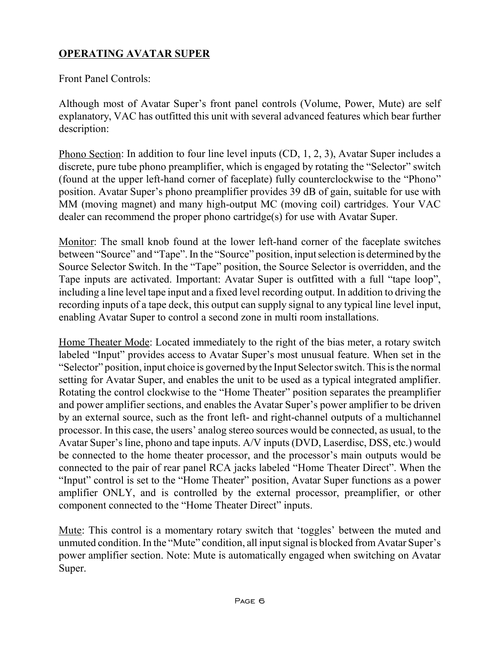#### **OPERATING AVATAR SUPER**

Front Panel Controls:

Although most of Avatar Super's front panel controls (Volume, Power, Mute) are self explanatory, VAC has outfitted this unit with several advanced features which bear further description:

Phono Section: In addition to four line level inputs (CD, 1, 2, 3), Avatar Super includes a discrete, pure tube phono preamplifier, which is engaged by rotating the "Selector" switch (found at the upper left-hand corner of faceplate) fully counterclockwise to the "Phono" position. Avatar Super's phono preamplifier provides 39 dB of gain, suitable for use with MM (moving magnet) and many high-output MC (moving coil) cartridges. Your VAC dealer can recommend the proper phono cartridge(s) for use with Avatar Super.

Monitor: The small knob found at the lower left-hand corner of the faceplate switches between "Source" and "Tape".In the "Source" position, inputselection is determined bythe Source Selector Switch. In the "Tape" position, the Source Selector is overridden, and the Tape inputs are activated. Important: Avatar Super is outfitted with a full "tape loop", including a line level tape input and a fixed level recording output. In addition to driving the recording inputs of a tape deck, this output can supply signal to any typical line level input, enabling Avatar Super to control a second zone in multi room installations.

Home Theater Mode: Located immediately to the right of the bias meter, a rotary switch labeled "Input" provides access to Avatar Super's most unusual feature. When set in the "Selector" position, input choice is governed by the Input Selector switch. This is the normal setting for Avatar Super, and enables the unit to be used as a typical integrated amplifier. Rotating the control clockwise to the "Home Theater" position separates the preamplifier and power amplifier sections, and enables the Avatar Super's power amplifier to be driven by an external source, such as the front left- and right-channel outputs of a multichannel processor. In this case, the users' analog stereo sources would be connected, as usual, to the Avatar Super's line, phono and tape inputs. A/V inputs (DVD, Laserdisc, DSS, etc.) would be connected to the home theater processor, and the processor's main outputs would be connected to the pair of rear panel RCA jacks labeled "Home Theater Direct". When the "Input" control is set to the "Home Theater" position, Avatar Super functions as a power amplifier ONLY, and is controlled by the external processor, preamplifier, or other component connected to the "Home Theater Direct" inputs.

Mute: This control is a momentary rotary switch that 'toggles' between the muted and unmuted condition.In the "Mute" condition, all inputsignal is blocked from Avatar Super's power amplifier section. Note: Mute is automatically engaged when switching on Avatar Super.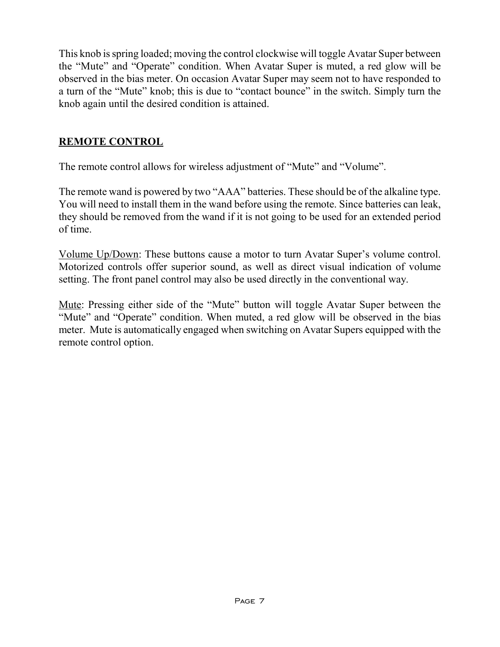This knob isspring loaded; moving the control clockwise will toggle Avatar Super between the "Mute" and "Operate" condition. When Avatar Super is muted, a red glow will be observed in the bias meter. On occasion Avatar Super may seem not to have responded to a turn of the "Mute" knob; this is due to "contact bounce" in the switch. Simply turn the knob again until the desired condition is attained.

#### **REMOTE CONTROL**

The remote control allows for wireless adjustment of "Mute" and "Volume".

The remote wand is powered by two "AAA" batteries. These should be of the alkaline type. You will need to install them in the wand before using the remote. Since batteries can leak, they should be removed from the wand if it is not going to be used for an extended period of time.

Volume Up/Down: These buttons cause a motor to turn Avatar Super's volume control. Motorized controls offer superior sound, as well as direct visual indication of volume setting. The front panel control may also be used directly in the conventional way.

Mute: Pressing either side of the "Mute" button will toggle Avatar Super between the "Mute" and "Operate" condition. When muted, a red glow will be observed in the bias meter. Mute is automatically engaged when switching on Avatar Supers equipped with the remote control option.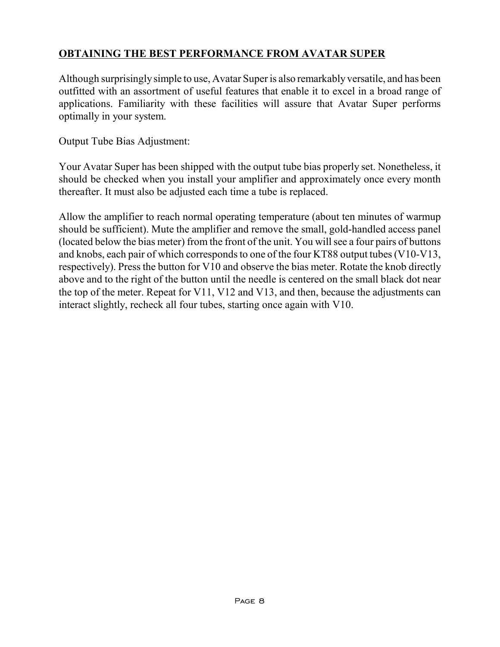#### **OBTAINING THE BEST PERFORMANCE FROM AVATAR SUPER**

Although surprisingly simple to use, Avatar Superis also remarkably versatile, and has been outfitted with an assortment of useful features that enable it to excel in a broad range of applications. Familiarity with these facilities will assure that Avatar Super performs optimally in your system.

Output Tube Bias Adjustment:

Your Avatar Super has been shipped with the output tube bias properly set. Nonetheless, it should be checked when you install your amplifier and approximately once every month thereafter. It must also be adjusted each time a tube is replaced.

Allow the amplifier to reach normal operating temperature (about ten minutes of warmup should be sufficient). Mute the amplifier and remove the small, gold-handled access panel (located below the bias meter) from the front of the unit. You will see a four pairs of buttons and knobs, each pair of which corresponds to one of the four KT88 output tubes (V10-V13, respectively). Press the button for V10 and observe the bias meter. Rotate the knob directly above and to the right of the button until the needle is centered on the small black dot near the top of the meter. Repeat for V11, V12 and V13, and then, because the adjustments can interact slightly, recheck all four tubes, starting once again with V10.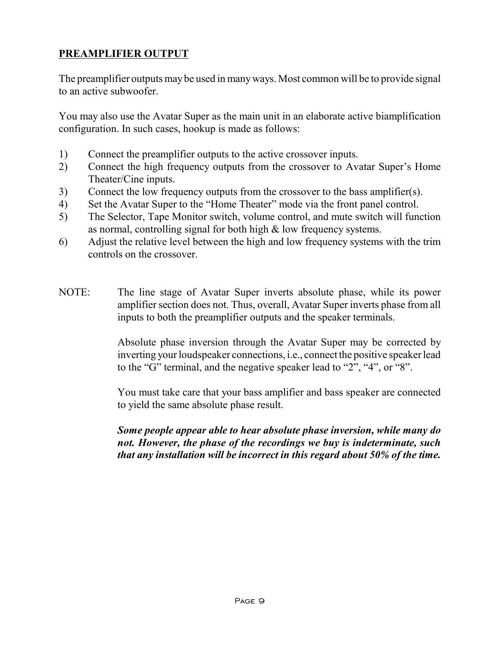#### **PREAMPLIFIER OUTPUT**

The preamplifier outputs may be used in many ways. Most common will be to provide signal to an active subwoofer.

You may also use the Avatar Super as the main unit in an elaborate active biamplification configuration. In such cases, hookup is made as follows:

- 1) Connect the preamplifier outputs to the active crossover inputs.
- 2) Connect the high frequency outputs from the crossover to Avatar Super's Home Theater/Cine inputs.
- 3) Connect the low frequency outputs from the crossover to the bass amplifier(s).
- 4) Set the Avatar Super to the "Home Theater" mode via the front panel control.
- 5) The Selector, Tape Monitor switch, volume control, and mute switch will function as normal, controlling signal for both high & low frequency systems.
- 6) Adjust the relative level between the high and low frequency systems with the trim controls on the crossover.
- NOTE: The line stage of Avatar Super inverts absolute phase, while its power amplifier section does not. Thus, overall, Avatar Super inverts phase from all inputs to both the preamplifier outputs and the speaker terminals.

Absolute phase inversion through the Avatar Super may be corrected by inverting your loudspeaker connections, *i.e.*, connect the positive speaker lead to the "G" terminal, and the negative speaker lead to "2", "4", or "8".

You must take care that your bass amplifier and bass speaker are connected to yield the same absolute phase result.

*Some people appear able to hear absolute phase inversion, while many do not. However, the phase of the recordings we buy is indeterminate, such that any installation will be incorrect in this regard about 50% of the time.*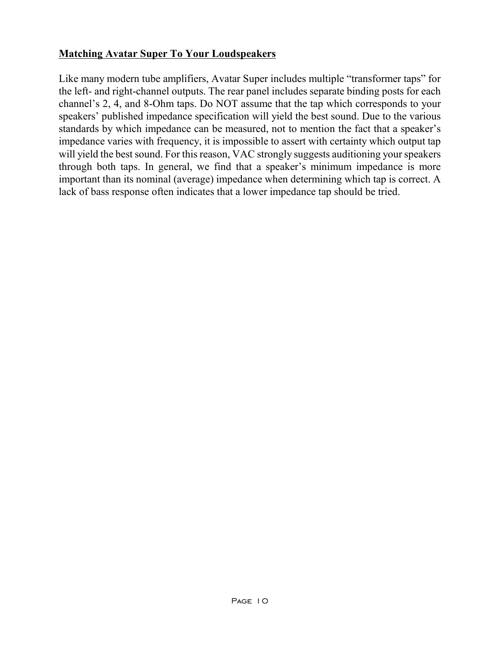#### **Matching Avatar Super To Your Loudspeakers**

Like many modern tube amplifiers, Avatar Super includes multiple "transformer taps" for the left- and right-channel outputs. The rear panel includes separate binding posts for each channel's 2, 4, and 8-Ohm taps. Do NOT assume that the tap which corresponds to your speakers' published impedance specification will yield the best sound. Due to the various standards by which impedance can be measured, not to mention the fact that a speaker's impedance varies with frequency, it is impossible to assert with certainty which output tap will yield the best sound. For this reason, VAC strongly suggests auditioning your speakers through both taps. In general, we find that a speaker's minimum impedance is more important than its nominal (average) impedance when determining which tap is correct. A lack of bass response often indicates that a lower impedance tap should be tried.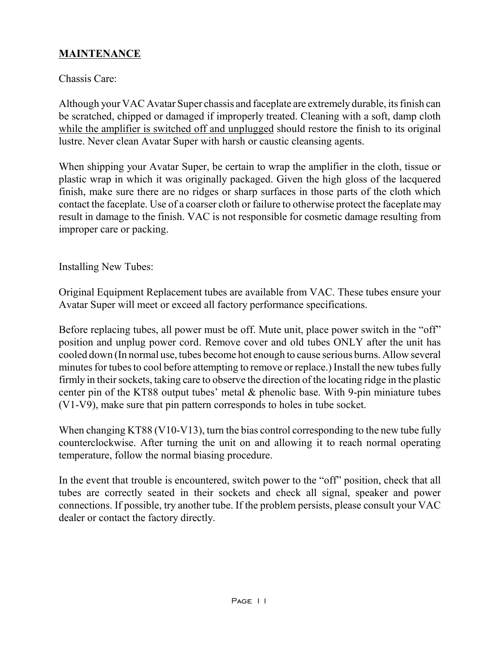#### **MAINTENANCE**

#### Chassis Care:

Although your VAC Avatar Super chassis and faceplate are extremely durable, itsfinish can be scratched, chipped or damaged if improperly treated. Cleaning with a soft, damp cloth while the amplifier is switched off and unplugged should restore the finish to its original lustre. Never clean Avatar Super with harsh or caustic cleansing agents.

When shipping your Avatar Super, be certain to wrap the amplifier in the cloth, tissue or plastic wrap in which it was originally packaged. Given the high gloss of the lacquered finish, make sure there are no ridges or sharp surfaces in those parts of the cloth which contact the faceplate. Use of a coarser cloth or failure to otherwise protect the faceplate may result in damage to the finish. VAC is not responsible for cosmetic damage resulting from improper care or packing.

Installing New Tubes:

Original Equipment Replacement tubes are available from VAC. These tubes ensure your Avatar Super will meet or exceed all factory performance specifications.

Before replacing tubes, all power must be off. Mute unit, place power switch in the "off" position and unplug power cord. Remove cover and old tubes ONLY after the unit has cooled down (In normal use, tubes become hot enough to cause serious burns. Allow several minutes for tubes to cool before attempting to remove or replace.) Install the new tubes fully firmly in their sockets, taking care to observe the direction of the locating ridge in the plastic center pin of the KT88 output tubes' metal  $\&$  phenolic base. With 9-pin miniature tubes (V1-V9), make sure that pin pattern corresponds to holes in tube socket.

When changing KT88 (V10-V13), turn the bias control corresponding to the new tube fully counterclockwise. After turning the unit on and allowing it to reach normal operating temperature, follow the normal biasing procedure.

In the event that trouble is encountered, switch power to the "off" position, check that all tubes are correctly seated in their sockets and check all signal, speaker and power connections. If possible, try another tube. If the problem persists, please consult your VAC dealer or contact the factory directly.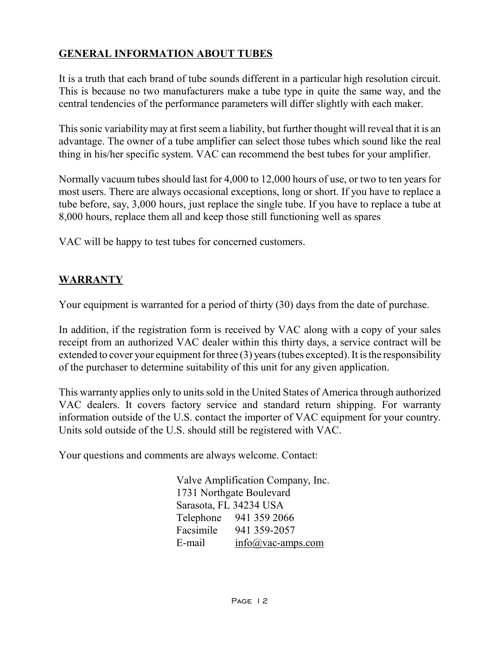#### **GENERAL INFORMATION ABOUT TUBES**

It is a truth that each brand of tube sounds different in a particular high resolution circuit. This is because no two manufacturers make a tube type in quite the same way, and the central tendencies of the performance parameters will differ slightly with each maker.

Thissonic variability may at first seem a liability, but further thought will reveal that it is an advantage. The owner of a tube amplifier can select those tubes which sound like the real thing in his/her specific system. VAC can recommend the best tubes for your amplifier.

Normally vacuum tubes should last for 4,000 to 12,000 hours of use, or two to ten years for most users. There are always occasional exceptions, long or short. If you have to replace a tube before, say, 3,000 hours, just replace the single tube. If you have to replace a tube at 8,000 hours, replace them all and keep those still functioning well as spares

VAC will be happy to test tubes for concerned customers.

#### **WARRANTY**

Your equipment is warranted for a period of thirty (30) days from the date of purchase.

In addition, if the registration form is received by VAC along with a copy of your sales receipt from an authorized VAC dealer within this thirty days, a service contract will be extended to cover your equipment for three  $(3)$  years (tubes excepted). It is the responsibility of the purchaser to determine suitability of this unit for any given application.

This warranty applies only to units sold in the United States of America through authorized VAC dealers. It covers factory service and standard return shipping. For warranty information outside of the U.S. contact the importer of VAC equipment for your country. Units sold outside of the U.S. should still be registered with VAC.

Your questions and comments are always welcome. Contact:

Valve Amplification Company, Inc. 1731 Northgate Boulevard Sarasota, FL 34234 USA Telephone 941 359 2066 Facsimile 941 359-2057 E-mail [info@vac-amps.com](mailto:info@vac-amps.com)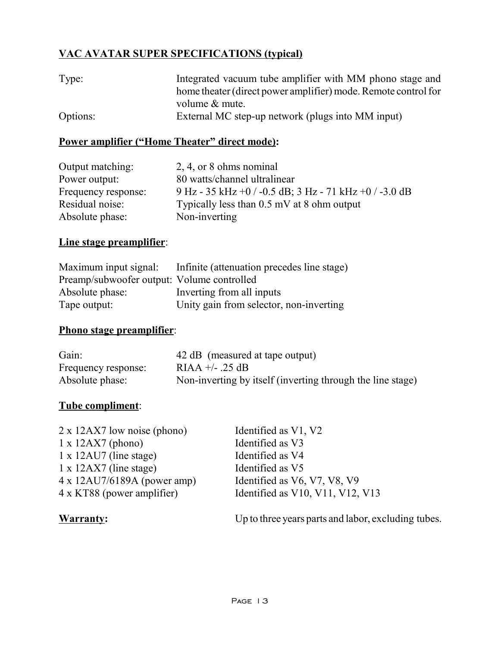### **VAC AVATAR SUPER SPECIFICATIONS (typical)**

| Type:    | Integrated vacuum tube amplifier with MM phono stage and       |
|----------|----------------------------------------------------------------|
|          | home theater (direct power amplifier) mode. Remote control for |
|          | volume & mute.                                                 |
| Options: | External MC step-up network (plugs into MM input)              |

#### **Power amplifier ("Home Theater" direct mode):**

| Output matching:    | $2, 4,$ or 8 ohms nominal                              |
|---------------------|--------------------------------------------------------|
| Power output:       | 80 watts/channel ultralinear                           |
| Frequency response: | 9 Hz - 35 kHz +0 / -0.5 dB; 3 Hz - 71 kHz +0 / -3.0 dB |
| Residual noise:     | Typically less than $0.5$ mV at 8 ohm output           |
| Absolute phase:     | Non-inverting                                          |

#### **Line stage preamplifier**:

|                                            | Maximum input signal: Infinite (attenuation precedes line stage) |
|--------------------------------------------|------------------------------------------------------------------|
| Preamp/subwoofer output: Volume controlled |                                                                  |
| Absolute phase:                            | Inverting from all inputs                                        |
| Tape output:                               | Unity gain from selector, non-inverting                          |

#### **Phono stage preamplifier**:

| Gain:               | 42 dB (measured at tape output)                            |
|---------------------|------------------------------------------------------------|
| Frequency response: | RIAA $+/-$ 25 dB                                           |
| Absolute phase:     | Non-inverting by itself (inverting through the line stage) |

#### **Tube compliment**:

| $2 \times 12AX7$ low noise (phono)  | Identified as V1, V2             |
|-------------------------------------|----------------------------------|
| $1 \times 12AX7$ (phono)            | Identified as V3                 |
| $1 \times 12$ AU7 (line stage)      | Identified as V4                 |
| $1 \times 12AX7$ (line stage)       | Identified as V5                 |
| $4 \times 12$ AU7/6189A (power amp) | Identified as V6, V7, V8, V9     |
| 4 x KT88 (power amplifier)          | Identified as V10, V11, V12, V13 |
|                                     |                                  |

**Warranty:** Up to three years parts and labor, excluding tubes.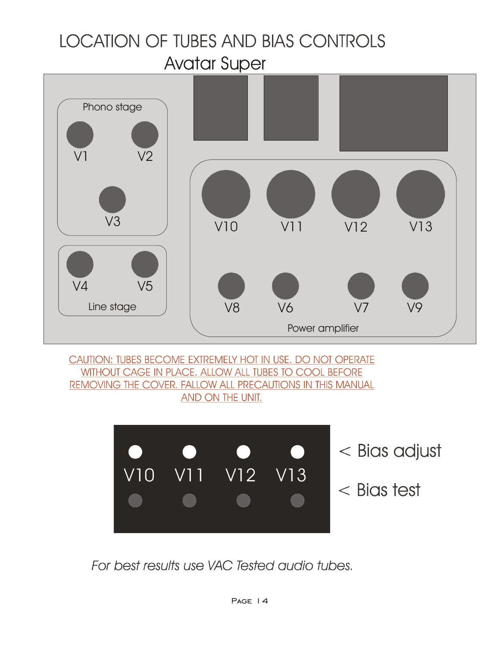# **LOCATION OF TUBES AND BIAS CONTROLS**

Avatar Super



CAUTION: TUBES BECOME EXTREMELY HOT IN USE. DO NOT OPERATE WITHOUT CAGE IN PLACE. ALLOW ALL TUBES TO COOL BEFORE REMOVING THE COVER. FALLOW ALL PRECAUTIONS IN THIS MANUAL AND ON THE UNIT.



For best results use VAC Tested audio tubes.